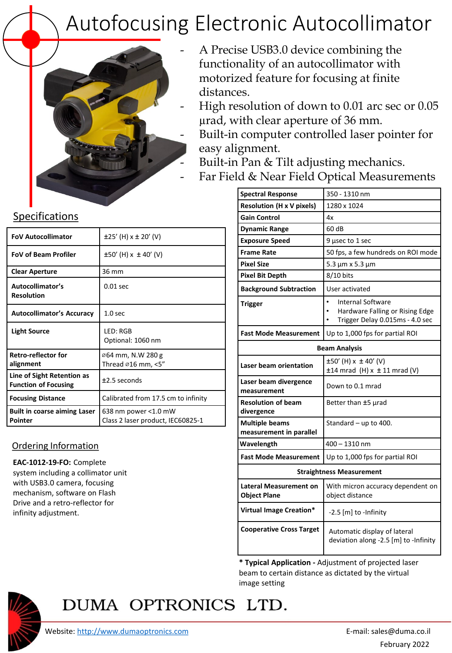# Autofocusing Electronic Autocollimator



- A Precise USB3.0 device combining the functionality of an autocollimator with motorized feature for focusing at finite distances.
- High resolution of down to 0.01 arc sec or 0.05 µrad, with clear aperture of 36 mm.
	- Built-in computer controlled laser pointer for easy alignment.
	- Built-in Pan & Tilt adjusting mechanics.
- Far Field & Near Field Optical Measurements

| <b>Spectral Response</b>                             | 350 - 1310 nm                                                                                               |
|------------------------------------------------------|-------------------------------------------------------------------------------------------------------------|
| <b>Resolution (H x V pixels)</b>                     | 1280 x 1024                                                                                                 |
| <b>Gain Control</b>                                  | 4x                                                                                                          |
| <b>Dynamic Range</b>                                 | 60 dB                                                                                                       |
| <b>Exposure Speed</b>                                | 9 µsec to 1 sec                                                                                             |
| <b>Frame Rate</b>                                    | 50 fps, a few hundreds on ROI mode                                                                          |
| <b>Pixel Size</b>                                    | 5.3 µm x 5.3 µm                                                                                             |
| <b>Pixel Bit Depth</b>                               | 8/10 bits                                                                                                   |
| <b>Background Subtraction</b>                        | User activated                                                                                              |
| <b>Trigger</b>                                       | $\bullet$<br><b>Internal Software</b><br>Hardware Falling or Rising Edge<br>Trigger Delay 0.015ms - 4.0 sec |
| <b>Fast Mode Measurement</b>                         | Up to 1,000 fps for partial ROI                                                                             |
| <b>Beam Analysis</b>                                 |                                                                                                             |
| <b>Laser beam orientation</b>                        | $\pm 50'$ (H) x $\pm 40'$ (V)<br>$±14$ mrad (H) x $±11$ mrad (V)                                            |
| Laser beam divergence<br>measurement                 | Down to 0.1 mrad                                                                                            |
| <b>Resolution of beam</b><br>divergence              | Better than ±5 µrad                                                                                         |
| <b>Multiple beams</b><br>measurement in parallel     | Standard $-$ up to 400.                                                                                     |
| Wavelength                                           | $400 - 1310$ nm                                                                                             |
| <b>Fast Mode Measurement</b>                         | Up to 1,000 fps for partial ROI                                                                             |
| <b>Straightness Measurement</b>                      |                                                                                                             |
| <b>Lateral Measurement on</b><br><b>Object Plane</b> | With micron accuracy dependent on<br>object distance                                                        |
| Virtual Image Creation*                              | $-2.5$ [m] to -Infinity                                                                                     |
| <b>Cooperative Cross Target</b>                      | Automatic display of lateral<br>deviation along -2.5 [m] to -Infinity                                       |

**\* Typical Application -** Adjustment of projected laser beam to certain distance as dictated by the virtual image setting

#### Specifications

| <b>FoV Autocollimator</b>                                 | $\pm 25'$ (H) x $\pm 20'$ (V)                             |
|-----------------------------------------------------------|-----------------------------------------------------------|
| <b>FoV of Beam Profiler</b>                               | $\pm 50'$ (H) x $\pm 40'$ (V)                             |
| <b>Clear Aperture</b>                                     | 36 mm                                                     |
| Autocollimator's<br><b>Resolution</b>                     | $0.01$ sec                                                |
| <b>Autocollimator's Accuracy</b>                          | 1.0 <sub>sec</sub>                                        |
| <b>Light Source</b>                                       | LED: RGB<br>Optional: 1060 nm                             |
| <b>Retro-reflector for</b><br>alignment                   | ⊘64 mm, N.W 280 g<br>Thread ∅16 mm, <5″                   |
| Line of Sight Retention as<br><b>Function of Focusing</b> | $±2.5$ seconds                                            |
| <b>Focusing Distance</b>                                  | Calibrated from 17.5 cm to infinity                       |
| <b>Built in coarse aiming Laser</b><br>Pointer            | 638 nm power <1.0 mW<br>Class 2 laser product, IEC60825-1 |

#### Ordering Information

**EAC-1012-19-FO:** Complete system including a collimator unit with USB3.0 camera, focusing mechanism, software on Flash Drive and a retro-reflector for infinity adjustment.



## DUMA OPTRONICS LTD.

Website: [http://www.dumaoptronics.com](http://www.dumaoptronics.com/) example and the set of the set of the E-mail: sales@duma.co.il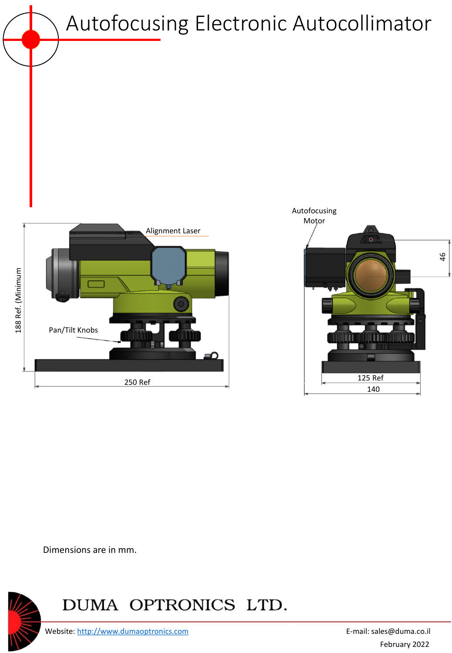Autofocusing Electronic Autocollimator





Dimensions are in mm.



### DUMA OPTRONICS LTD.

Website: [http://www.dumaoptronics.com](http://www.dumaoptronics.com/) example and the set of the sales are E-mail: sales@duma.co.il